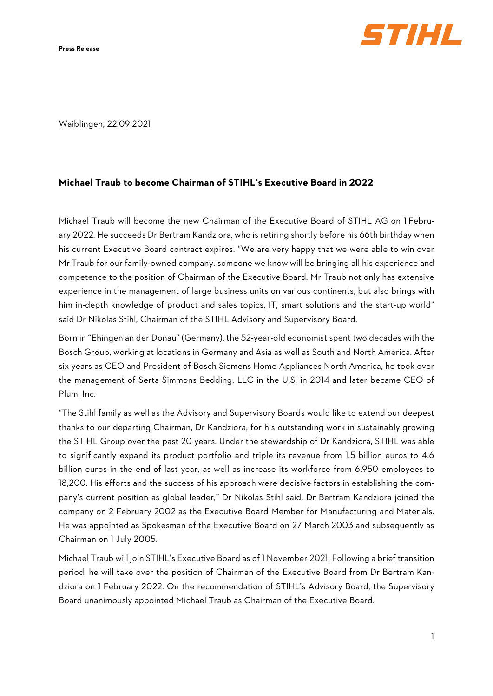**Press Release**



Waiblingen, 22.09.2021

## **Michael Traub to become Chairman of STIHL's Executive Board in 2022**

Michael Traub will become the new Chairman of the Executive Board of STIHL AG on 1 February 2022. He succeeds Dr Bertram Kandziora, who is retiring shortly before his 66th birthday when his current Executive Board contract expires. "We are very happy that we were able to win over Mr Traub for our family-owned company, someone we know will be bringing all his experience and competence to the position of Chairman of the Executive Board. Mr Traub not only has extensive experience in the management of large business units on various continents, but also brings with him in-depth knowledge of product and sales topics, IT, smart solutions and the start-up world" said Dr Nikolas Stihl, Chairman of the STIHL Advisory and Supervisory Board.

Born in "Ehingen an der Donau" (Germany), the 52-year-old economist spent two decades with the Bosch Group, working at locations in Germany and Asia as well as South and North America. After six years as CEO and President of Bosch Siemens Home Appliances North America, he took over the management of Serta Simmons Bedding, LLC in the U.S. in 2014 and later became CEO of Plum, Inc.

"The Stihl family as well as the Advisory and Supervisory Boards would like to extend our deepest thanks to our departing Chairman, Dr Kandziora, for his outstanding work in sustainably growing the STIHL Group over the past 20 years. Under the stewardship of Dr Kandziora, STIHL was able to significantly expand its product portfolio and triple its revenue from 1.5 billion euros to 4.6 billion euros in the end of last year, as well as increase its workforce from 6,950 employees to 18,200. His efforts and the success of his approach were decisive factors in establishing the company's current position as global leader," Dr Nikolas Stihl said. Dr Bertram Kandziora joined the company on 2 February 2002 as the Executive Board Member for Manufacturing and Materials. He was appointed as Spokesman of the Executive Board on 27 March 2003 and subsequently as Chairman on 1 July 2005.

Michael Traub will join STIHL's Executive Board as of 1 November 2021. Following a brief transition period, he will take over the position of Chairman of the Executive Board from Dr Bertram Kandziora on 1 February 2022. On the recommendation of STIHL's Advisory Board, the Supervisory Board unanimously appointed Michael Traub as Chairman of the Executive Board.